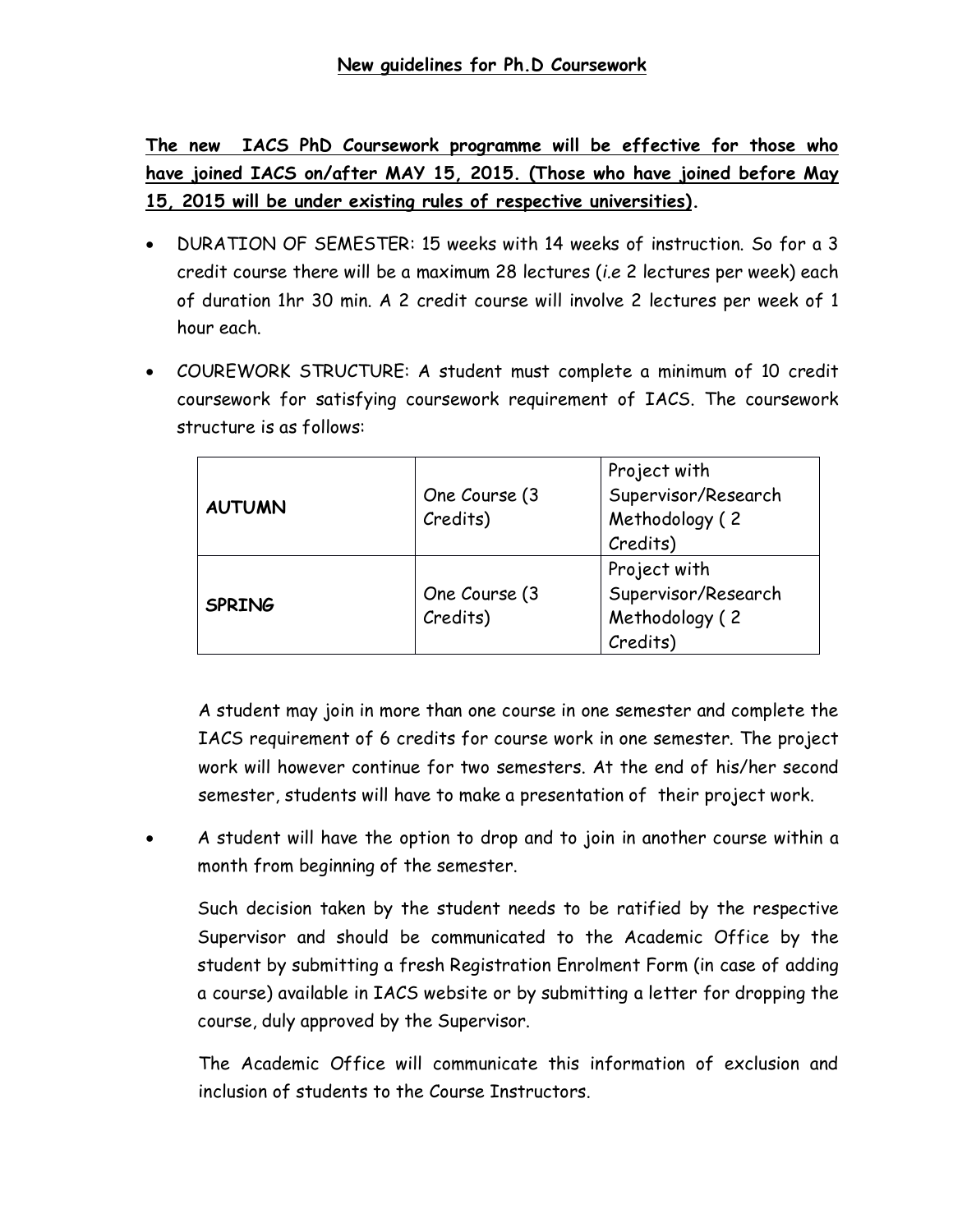**The new IACS PhD Coursework programme will be effective for those who have joined IACS on/after MAY 15, 2015. (Those who have joined before May 15, 2015 will be under existing rules of respective universities).**

- · DURATION OF SEMESTER: 15 weeks with 14 weeks of instruction. So for a 3 credit course there will be a maximum 28 lectures (*i.e* 2 lectures per week) each of duration 1hr 30 min. A 2 credit course will involve 2 lectures per week of 1 hour each.
- · COUREWORK STRUCTURE: A student must complete a minimum of 10 credit coursework for satisfying coursework requirement of IACS. The coursework structure is as follows:

| <b>AUTUMN</b> | One Course (3<br>Credits) | Project with<br>Supervisor/Research<br>Methodology (2<br>Credits) |
|---------------|---------------------------|-------------------------------------------------------------------|
| <b>SPRING</b> | One Course (3<br>Credits) | Project with<br>Supervisor/Research<br>Methodology (2<br>Credits) |

A student may join in more than one course in one semester and complete the IACS requirement of 6 credits for course work in one semester. The project work will however continue for two semesters. At the end of his/her second semester, students will have to make a presentation of their project work.

· A student will have the option to drop and to join in another course within a month from beginning of the semester.

Such decision taken by the student needs to be ratified by the respective Supervisor and should be communicated to the Academic Office by the student by submitting a fresh Registration Enrolment Form (in case of adding a course) available in IACS website or by submitting a letter for dropping the course, duly approved by the Supervisor.

The Academic Office will communicate this information of exclusion and inclusion of students to the Course Instructors.